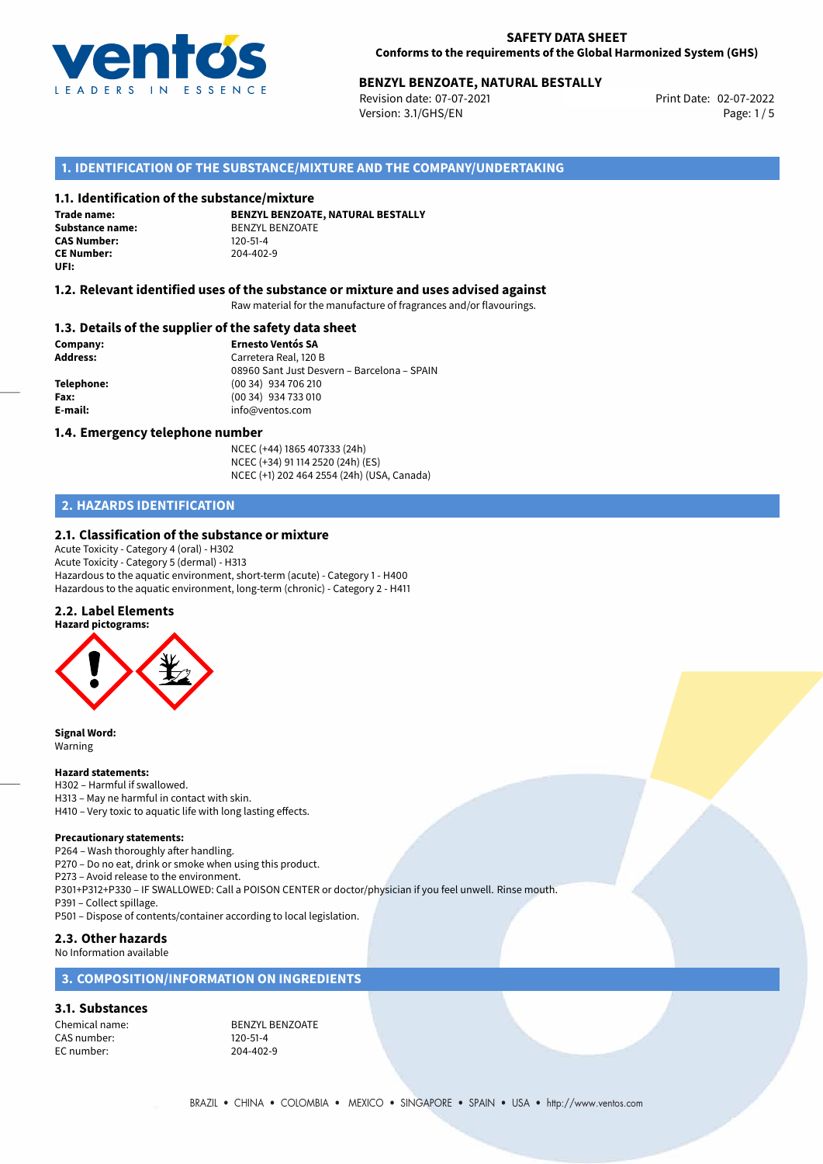

# **BENZYL BENZOATE, NATURAL BESTALLY**<br>Revision date: 07-07-2021<br>Print Date: 02-07-2022

Revision date: 07-07-2021 Version: 3.1/GHS/EN Page: 1 / 5

# **1. IDENTIFICATION OF THE SUBSTANCE/MIXTURE AND THE COMPANY/UNDERTAKING**

# **1.1. Identification of the substance/mixture**

**Trade name: CAS Number: CE Number:** 204-402-9 **UFI:**

**BENZYL BENZOATE, NATURAL BESTALLY Substance name:** BENZYL BENZOATE<br> **CAS Number:** 120-51-4

## **1.2. Relevant identified uses of the substance or mixture and uses advised against**

Raw material for the manufacture of fragrances and/or flavourings.

## **1.3. Details of the supplier of the safety data sheet**

**Company: Ernesto Ventós SA Address:** Carretera Real, 120 B 08960 Sant Just Desvern – Barcelona – SPAIN **Telephone:** (00 34) 934 706 210 **Fax:** (00 34) 934 733 010 **E-mail:** info@ventos.com

#### **1.4. Emergency telephone number**

NCEC (+44) 1865 407333 (24h) NCEC (+34) 91 114 2520 (24h) (ES) NCEC (+1) 202 464 2554 (24h) (USA, Canada)

# **2. HAZARDS IDENTIFICATION**

#### **2.1. Classification of the substance or mixture**

Acute Toxicity - Category 4 (oral) - H302 Acute Toxicity - Category 5 (dermal) - H313 Hazardous to the aquatic environment, short-term (acute) - Category 1 - H400 Hazardous to the aquatic environment, long-term (chronic) - Category 2 - H411

#### **2.2. Label Elements**



**Signal Word:** Warning

#### **Hazard statements:**

H302 – Harmful if swallowed. H313 – May ne harmful in contact with skin. H410 – Very toxic to aquatic life with long lasting effects.

#### **Precautionary statements:**

P264 – Wash thoroughly after handling.

P270 – Do no eat, drink or smoke when using this product.

P273 – Avoid release to the environment.

P301+P312+P330 – IF SWALLOWED: Call a POISON CENTER or doctor/physician if you feel unwell. Rinse mouth.

P391 – Collect spillage.

P501 – Dispose of contents/container according to local legislation.

#### **2.3. Other hazards**

No Information available

# **3. COMPOSITION/INFORMATION ON INGREDIENTS**

# **3.1. Substances**

CAS number: 120-51-4<br>EC number: 204-402

Chemical name: BENZYL BENZOATE 204-402-9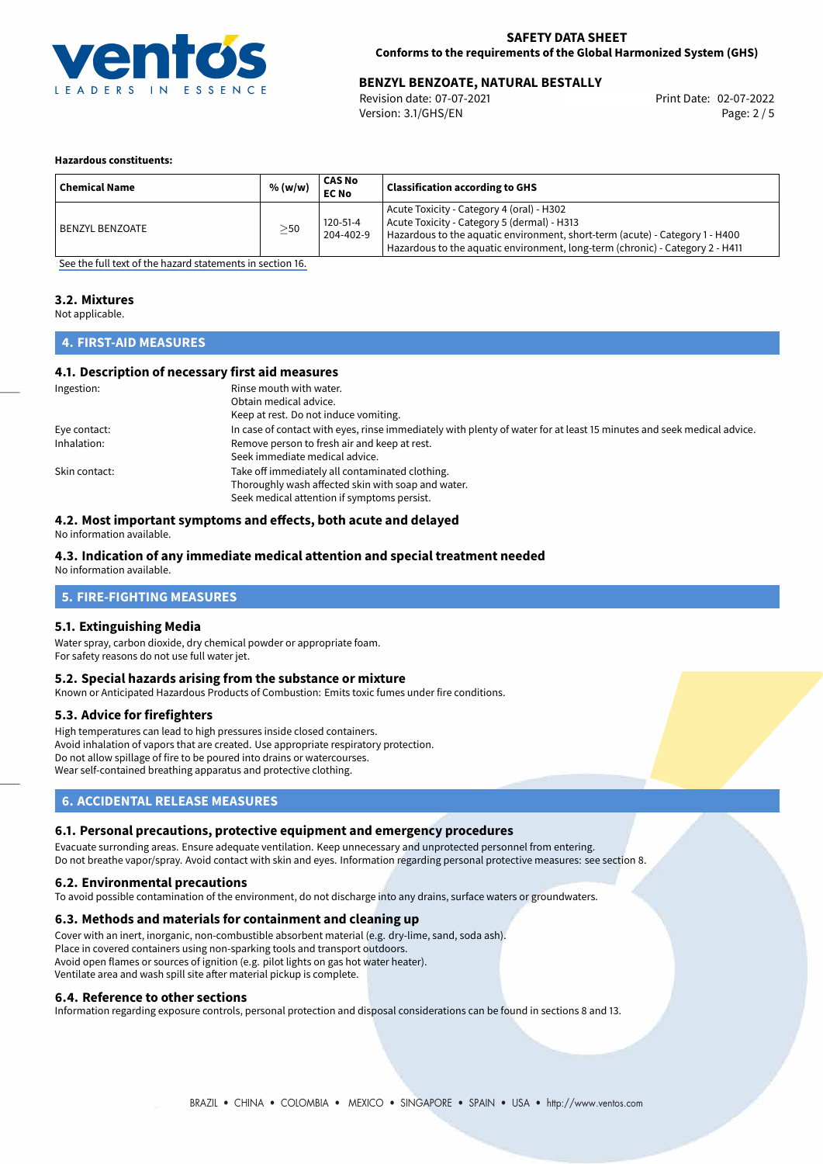

# **BENZYL BENZOATE, NATURAL BESTALLY**<br>Revision date: 07-07-2021<br>Print Date: 02-07-2022

Revision date: 07-07-2021 Version: 3.1/GHS/EN Page: 2 / 5

### **Hazardous constituents:**

| <b>Chemical Name</b> | % (w/w)   | CAS No<br><b>EC No</b> | <b>Classification according to GHS</b>                                                                                                                                                                                                                    |
|----------------------|-----------|------------------------|-----------------------------------------------------------------------------------------------------------------------------------------------------------------------------------------------------------------------------------------------------------|
| BENZYL BENZOATE      | $\geq$ 50 | 120-51-4<br>204-402-9  | Acute Toxicity - Category 4 (oral) - H302<br>Acute Toxicity - Category 5 (dermal) - H313<br>Hazardous to the aquatic environment, short-term (acute) - Category 1 - H400<br>Hazardous to the aquatic environment, long-term (chronic) - Category 2 - H411 |

[See the full text of the hazard statements in section 16.](#page-4-0)

# **3.2. Mixtures**

Not applicable.

# **4. FIRST-AID MEASURES**

# **4.1. Description of necessary first aid measures**

| Ingestion:    | Rinse mouth with water.<br>Obtain medical advice.                                                                                                    |
|---------------|------------------------------------------------------------------------------------------------------------------------------------------------------|
|               | Keep at rest. Do not induce vomiting.                                                                                                                |
| Eye contact:  | In case of contact with eyes, rinse immediately with plenty of water for at least 15 minutes and seek medical advice.                                |
| Inhalation:   | Remove person to fresh air and keep at rest.<br>Seek immediate medical advice.                                                                       |
| Skin contact: | Take off immediately all contaminated clothing.<br>Thoroughly wash affected skin with soap and water.<br>Seek medical attention if symptoms persist. |

# **4.2. Most important symptoms and effects, both acute and delayed**

No information available.

# **4.3. Indication of any immediate medical attention and special treatment needed**

No information available.

# **5. FIRE-FIGHTING MEASURES**

#### **5.1. Extinguishing Media**

Water spray, carbon dioxide, dry chemical powder or appropriate foam. For safety reasons do not use full water jet.

### **5.2. Special hazards arising from the substance or mixture**

Known or Anticipated Hazardous Products of Combustion: Emits toxic fumes under fire conditions.

#### **5.3. Advice for firefighters**

High temperatures can lead to high pressures inside closed containers. Avoid inhalation of vapors that are created. Use appropriate respiratory protection. Do not allow spillage of fire to be poured into drains or watercourses. Wear self-contained breathing apparatus and protective clothing.

# **6. ACCIDENTAL RELEASE MEASURES**

#### **6.1. Personal precautions, protective equipment and emergency procedures**

Evacuate surronding areas. Ensure adequate ventilation. Keep unnecessary and unprotected personnel from entering. Do not breathe vapor/spray. Avoid contact with skin and eyes. Information regarding personal protective measures: see section 8.

#### **6.2. Environmental precautions**

To avoid possible contamination of the environment, do not discharge into any drains, surface waters or groundwaters.

### **6.3. Methods and materials for containment and cleaning up**

Cover with an inert, inorganic, non-combustible absorbent material (e.g. dry-lime, sand, soda ash). Place in covered containers using non-sparking tools and transport outdoors. Avoid open flames or sources of ignition (e.g. pilot lights on gas hot water heater). Ventilate area and wash spill site after material pickup is complete.

#### **6.4. Reference to other sections**

Information regarding exposure controls, personal protection and disposal considerations can be found in sections 8 and 13.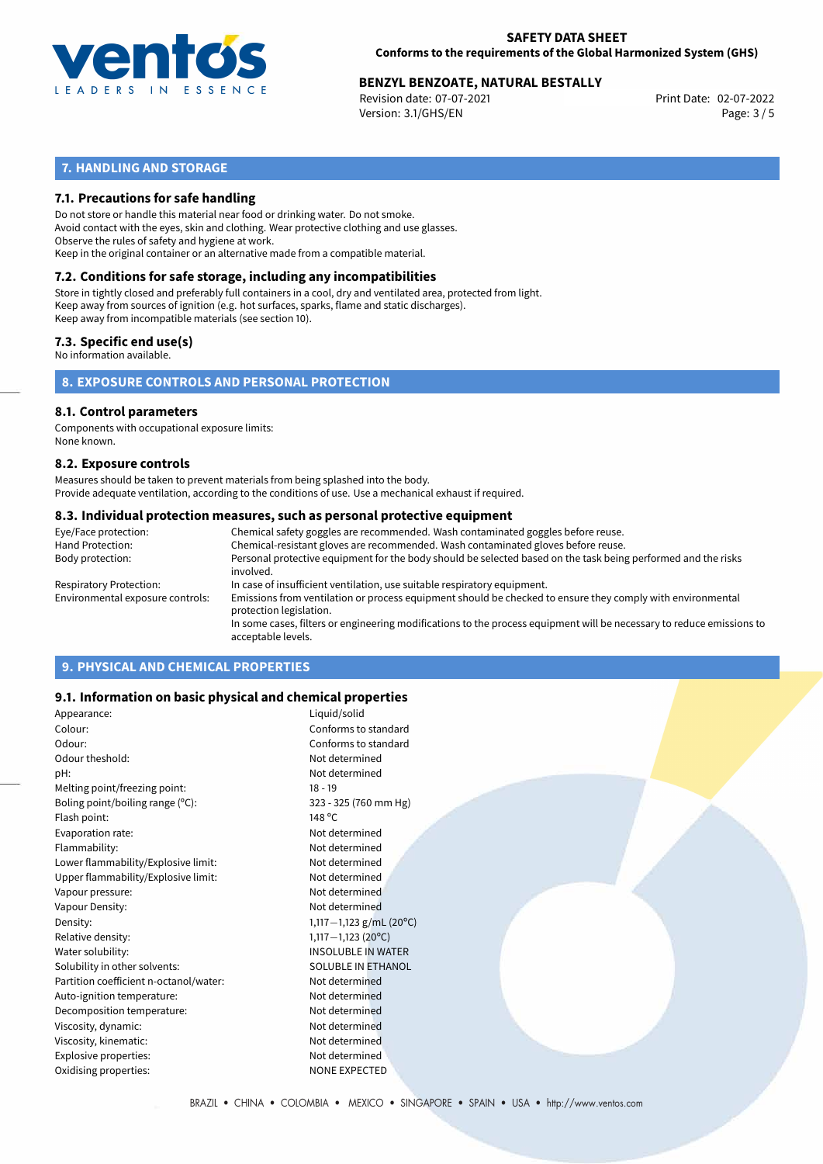

# **BENZYL BENZOATE, NATURAL BESTALLY**<br>Revision date: 07-07-2021<br>Print Date: 02-07-2022

Revision date: 07-07-2021 Version: 3.1/GHS/EN Page: 3 / 5

# **7. HANDLING AND STORAGE**

# **7.1. Precautions for safe handling**

Do not store or handle this material near food or drinking water. Do not smoke. Avoid contact with the eyes, skin and clothing. Wear protective clothing and use glasses. Observe the rules of safety and hygiene at work. Keep in the original container or an alternative made from a compatible material.

# **7.2. Conditions for safe storage, including any incompatibilities**

Store in tightly closed and preferably full containers in a cool, dry and ventilated area, protected from light. Keep away from sources of ignition (e.g. hot surfaces, sparks, flame and static discharges). Keep away from incompatible materials (see section 10).

## **7.3. Specific end use(s)**

No information available.

**8. EXPOSURE CONTROLS AND PERSONAL PROTECTION**

#### **8.1. Control parameters**

Components with occupational exposure limits: None known.

#### **8.2. Exposure controls**

Measures should be taken to prevent materials from being splashed into the body. Provide adequate ventilation, according to the conditions of use. Use a mechanical exhaust if required.

#### **8.3. Individual protection measures, such as personal protective equipment**

| Eye/Face protection:             | Chemical safety goggles are recommended. Wash contaminated goggles before reuse.                                                            |
|----------------------------------|---------------------------------------------------------------------------------------------------------------------------------------------|
| Hand Protection:                 | Chemical-resistant gloves are recommended. Wash contaminated gloves before reuse.                                                           |
| Body protection:                 | Personal protective equipment for the body should be selected based on the task being performed and the risks<br>involved.                  |
| Respiratory Protection:          | In case of insufficient ventilation, use suitable respiratory equipment.                                                                    |
| Environmental exposure controls: | Emissions from ventilation or process equipment should be checked to ensure they comply with environmental<br>protection legislation.       |
|                                  | In some cases, filters or engineering modifications to the process equipment will be necessary to reduce emissions to<br>acceptable levels. |
|                                  |                                                                                                                                             |

# **9. PHYSICAL AND CHEMICAL PROPERTIES**

# **9.1. Information on basic physical and chemical properties**

| Appearance:                            | Liquid/solid              |
|----------------------------------------|---------------------------|
| Colour:                                | Conforms to standard      |
| Odour:                                 | Conforms to standard      |
| Odour theshold:                        | Not determined            |
| pH:                                    | Not determined            |
| Melting point/freezing point:          | $18 - 19$                 |
| Boling point/boiling range (°C):       | 323 - 325 (760 mm Hg)     |
| Flash point:                           | 148 °C                    |
| Evaporation rate:                      | Not determined            |
| Flammability:                          | Not determined            |
| Lower flammability/Explosive limit:    | Not determined            |
| Upper flammability/Explosive limit:    | Not determined            |
| Vapour pressure:                       | Not determined            |
| Vapour Density:                        | Not determined            |
| Density:                               | 1,117 - 1,123 g/mL (20°C) |
| Relative density:                      | $1,117 - 1,123$ (20°C)    |
| Water solubility:                      | <b>INSOLUBLE IN WATER</b> |
| Solubility in other solvents:          | <b>SOLUBLE IN ETHANOL</b> |
| Partition coefficient n-octanol/water: | Not determined            |
| Auto-ignition temperature:             | Not determined            |
| Decomposition temperature:             | Not determined            |
| Viscosity, dynamic:                    | Not determined            |
| Viscosity, kinematic:                  | Not determined            |
| Explosive properties:                  | Not determined            |
| Oxidising properties:                  | <b>NONE EXPECTED</b>      |
|                                        |                           |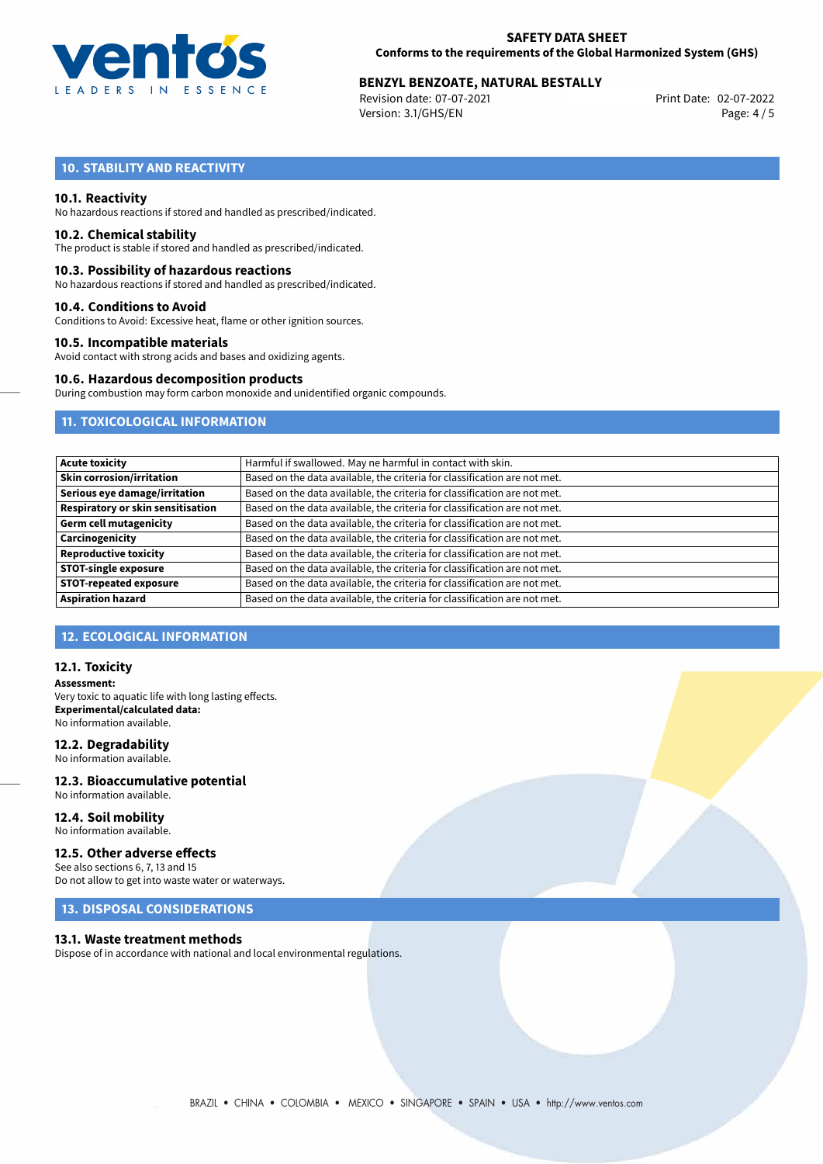

# **BENZYL BENZOATE, NATURAL BESTALLY**<br>Revision date: 07-07-2021<br>Print Date: 02-07-2022

Revision date: 07-07-2021 Version: 3.1/GHS/EN Page: 4 / 5

# **10. STABILITY AND REACTIVITY**

### **10.1. Reactivity**

No hazardous reactions if stored and handled as prescribed/indicated.

#### **10.2. Chemical stability**

The product is stable if stored and handled as prescribed/indicated.

#### **10.3. Possibility of hazardous reactions**

No hazardous reactions if stored and handled as prescribed/indicated.

#### **10.4. Conditions to Avoid**

Conditions to Avoid: Excessive heat, flame or other ignition sources.

### **10.5. Incompatible materials**

Avoid contact with strong acids and bases and oxidizing agents.

## **10.6. Hazardous decomposition products**

During combustion may form carbon monoxide and unidentified organic compounds.

# **11. TOXICOLOGICAL INFORMATION**

| <b>Acute toxicity</b>             | Harmful if swallowed. May ne harmful in contact with skin.                |
|-----------------------------------|---------------------------------------------------------------------------|
| <b>Skin corrosion/irritation</b>  | Based on the data available, the criteria for classification are not met. |
| Serious eye damage/irritation     | Based on the data available, the criteria for classification are not met. |
| Respiratory or skin sensitisation | Based on the data available, the criteria for classification are not met. |
| <b>Germ cell mutagenicity</b>     | Based on the data available, the criteria for classification are not met. |
| Carcinogenicity                   | Based on the data available, the criteria for classification are not met. |
| <b>Reproductive toxicity</b>      | Based on the data available, the criteria for classification are not met. |
| <b>STOT-single exposure</b>       | Based on the data available, the criteria for classification are not met. |
| <b>STOT-repeated exposure</b>     | Based on the data available, the criteria for classification are not met. |
| <b>Aspiration hazard</b>          | Based on the data available, the criteria for classification are not met. |

# **12. ECOLOGICAL INFORMATION**

### **12.1. Toxicity**

**Assessment:** Very toxic to aquatic life with long lasting effects. **Experimental/calculated data:** No information available.

## **12.2. Degradability**

No information available.

#### **12.3. Bioaccumulative potential** No information available.

**12.4. Soil mobility** No information available.

# **12.5. Other adverse effects**

See also sections 6, 7, 13 and 15 Do not allow to get into waste water or waterways.

# **13. DISPOSAL CONSIDERATIONS**

#### **13.1. Waste treatment methods**

Dispose of in accordance with national and local environmental regulations.